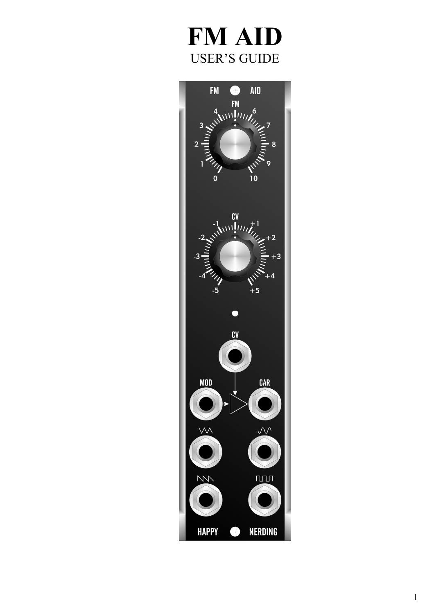# FM AID **USER'S GUIDE**

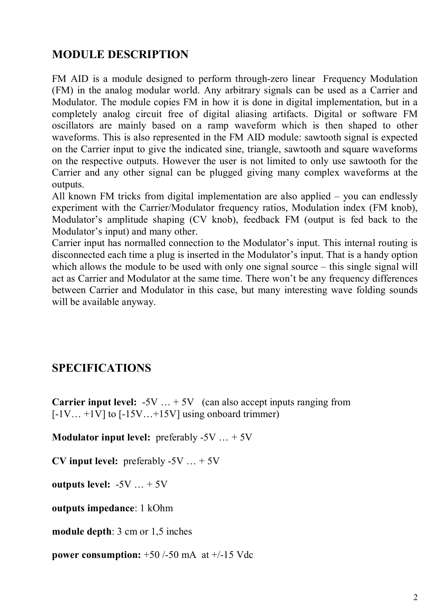# **MODULE DESCRIPTION**

FM AID is a module designed to perform through-zero linear Frequency Modulation (FM) in the analog modular world. Any arbitrary signals can be used as a Carrier and Modulator. The module copies FM in how it is done in digital implementation, but in a completely analog circuit free of digital aliasing artifacts. Digital or software FM oscillators are mainly based on a ramp waveform which is then shaped to other waveforms. This is also represented in the FM AID module: sawtooth signal is expected on the Carrier input to give the indicated sine, triangle, sawtooth and square waveforms on the respective outputs. However the user is not limited to only use sawtooth for the Carrier and any other signal can be plugged giving many complex waveforms at the outputs.

All known FM tricks from digital implementation are also applied – you can endlessly experiment with the Carrier/Modulator frequency ratios, Modulation index (FM knob), Modulator's amplitude shaping (CV knob), feedback FM (output is fed back to the Modulator's input) and many other.

Carrier input has normalled connection to the Modulator's input. This internal routing is disconnected each time a plug is inserted in the Modulator's input. That is a handy option which allows the module to be used with only one signal source – this single signal will act as Carrier and Modulator at the same time. There won't be any frequency differences between Carrier and Modulator in this case, but many interesting wave folding sounds will be available anyway.

## **SPECIFICATIONS**

**Carrier input level:** -5V ... + 5V (can also accept inputs ranging from  $[-1V... +1V]$  to  $[-15V... +15V]$  using onboard trimmer)

**Modulator input level:** preferably -5V … + 5V

**CV input level:** preferably -5V … + 5V

**outputs level:** -5V … + 5V

**outputs impedance**: 1 kOhm

**module depth**: 3 cm or 1,5 inches

**power consumption:** +50 /-50 mA at +/-15 Vdc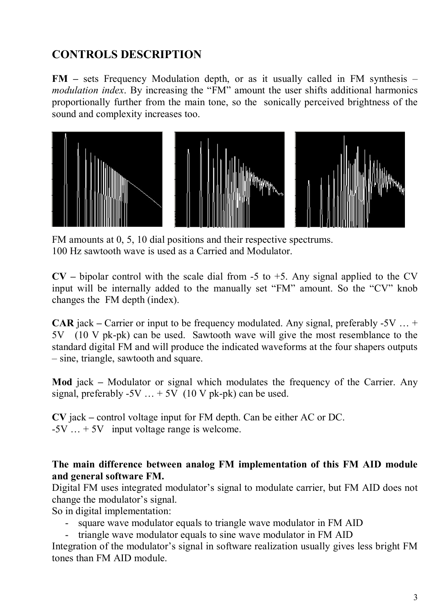# **CONTROLS DESCRIPTION**

**FM –** sets Frequency Modulation depth, or as it usually called in FM synthesis – *modulation index*. By increasing the "FM" amount the user shifts additional harmonics proportionally further from the main tone, so the sonically perceived brightness of the sound and complexity increases too.



FM amounts at 0, 5, 10 dial positions and their respective spectrums. 100 Hz sawtooth wave is used as a Carried and Modulator.

 $CV$  – bipolar control with the scale dial from -5 to +5. Any signal applied to the CV input will be internally added to the manually set "FM" amount. So the "CV" knob changes the FM depth (index).

**CAR** jack **–** Carrier or input to be frequency modulated. Any signal, preferably -5V … + 5V (10 V pk-pk) can be used. Sawtooth wave will give the most resemblance to the standard digital FM and will produce the indicated waveforms at the four shapers outputs – sine, triangle, sawtooth and square.

**Mod** jack **–** Modulator or signal which modulates the frequency of the Carrier. Any signal, preferably  $-5V$  ...  $+5V$  (10 V pk-pk) can be used.

**CV** jack **–** control voltage input for FM depth. Can be either AC or DC.  $-5V$   $\ldots +5V$  input voltage range is welcome.

#### **The main difference between analog FM implementation of this FM AID module and general software FM.**

Digital FM uses integrated modulator's signal to modulate carrier, but FM AID does not change the modulator's signal.

So in digital implementation:

- square wave modulator equals to triangle wave modulator in FM AID
- triangle wave modulator equals to sine wave modulator in FM AID

Integration of the modulator's signal in software realization usually gives less bright FM tones than FM AID module.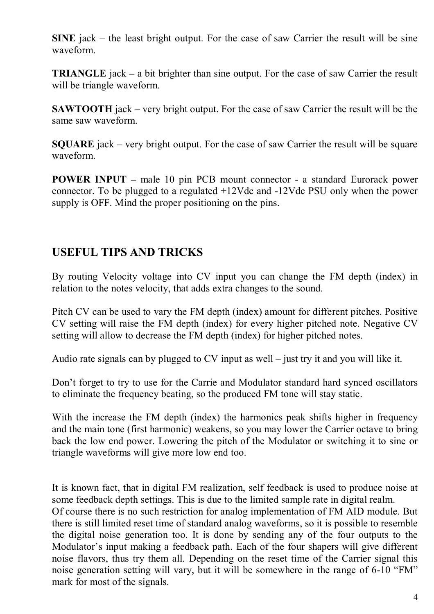**SINE** jack **–** the least bright output. For the case of saw Carrier the result will be sine waveform.

**TRIANGLE** jack **–** a bit brighter than sine output. For the case of saw Carrier the result will be triangle waveform.

**SAWTOOTH** jack **–** very bright output. For the case of saw Carrier the result will be the same saw waveform.

**SQUARE** jack **–** very bright output. For the case of saw Carrier the result will be square waveform.

**POWER INPUT –** male 10 pin PCB mount connector - a standard Eurorack power connector. To be plugged to a regulated +12Vdc and -12Vdc PSU only when the power supply is OFF. Mind the proper positioning on the pins.

## **USEFUL TIPS AND TRICKS**

By routing Velocity voltage into CV input you can change the FM depth (index) in relation to the notes velocity, that adds extra changes to the sound.

Pitch CV can be used to vary the FM depth (index) amount for different pitches. Positive CV setting will raise the FM depth (index) for every higher pitched note. Negative CV setting will allow to decrease the FM depth (index) for higher pitched notes.

Audio rate signals can by plugged to CV input as well – just try it and you will like it.

Don't forget to try to use for the Carrie and Modulator standard hard synced oscillators to eliminate the frequency beating, so the produced FM tone will stay static.

With the increase the FM depth (index) the harmonics peak shifts higher in frequency and the main tone (first harmonic) weakens, so you may lower the Carrier octave to bring back the low end power. Lowering the pitch of the Modulator or switching it to sine or triangle waveforms will give more low end too.

It is known fact, that in digital FM realization, self feedback is used to produce noise at some feedback depth settings. This is due to the limited sample rate in digital realm.

Of course there is no such restriction for analog implementation of FM AID module. But there is still limited reset time of standard analog waveforms, so it is possible to resemble the digital noise generation too. It is done by sending any of the four outputs to the Modulator's input making a feedback path. Each of the four shapers will give different noise flavors, thus try them all. Depending on the reset time of the Carrier signal this noise generation setting will vary, but it will be somewhere in the range of 6-10 "FM" mark for most of the signals.